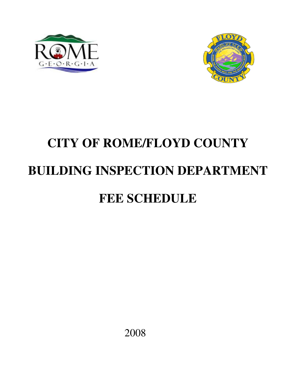



# **CITY OF ROME/FLOYD COUNTY BUILDING INSPECTION DEPARTMENT FEE SCHEDULE**

2008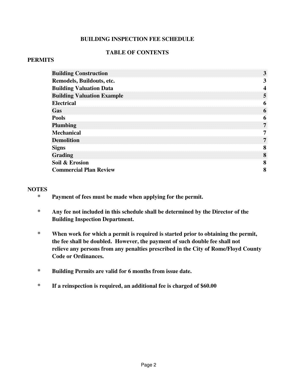## **BUILDING INSPECTION FEE SCHEDULE**

## **TABLE OF CONTENTS**

## **PERMITS**

| <b>Building Construction</b><br>3                                 |
|-------------------------------------------------------------------|
| Remodels, Buildouts, etc.<br>3                                    |
| <b>Building Valuation Data</b>                                    |
| <b>Building Valuation Example</b><br>5.<br><b>Electrical</b><br>6 |
| Gas<br>6                                                          |
| <b>Pools</b><br>6<br><b>Plumbing</b><br>7.                        |
| <b>Mechanical</b><br><b>Demolition</b><br>7.                      |
| <b>Signs</b><br>8<br><b>Grading</b><br>8                          |
| Soil & Erosion<br>8<br><b>Commercial Plan Review</b><br>8         |

## **NOTES**

- **\* Payment of fees must be made when applying for the permit.**
- **\* Any fee not included in this schedule shall be determined by the Director of the Building Inspection Department.**
- **\* When work for which a permit is required is started prior to obtaining the permit, the fee shall be doubled. However, the payment of such double fee shall not relieve any persons from any penalties prescribed in the City of Rome/Floyd County Code or Ordinances.**
- **\* Building Permits are valid for 6 months from issue date.**
- **\* If a reinspection is required, an additional fee is charged of \$60.00**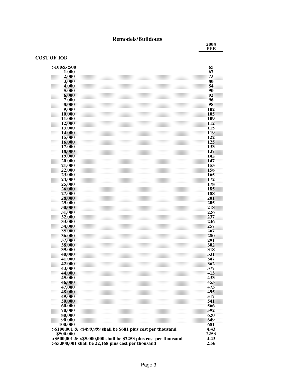## **Remodels/Buildouts**

**2008 FEE**

#### **COST OF JOB**

| $>100\&<500$<br>65<br>67<br>1,000                                                                                                          |  |
|--------------------------------------------------------------------------------------------------------------------------------------------|--|
| 73<br>2,000<br>80<br>3,000                                                                                                                 |  |
| 84<br>4,000<br>5,000<br>90                                                                                                                 |  |
| 92<br>6,000<br>W<br>7,000<br>96                                                                                                            |  |
| 98<br>8,000<br>9,000<br>102                                                                                                                |  |
| 105<br>10,000<br>109<br>11,000                                                                                                             |  |
| 12,000<br>112<br>13,000<br>115                                                                                                             |  |
| 14,000<br>119<br>122<br>15,000                                                                                                             |  |
| 125<br>16,000<br>17,000<br>133                                                                                                             |  |
| 18,000<br>137<br>19,000<br>142                                                                                                             |  |
| 20,000<br>147<br>153<br>21,000                                                                                                             |  |
| 22,000<br>158<br>23,000<br>165                                                                                                             |  |
| 24,000<br>172<br>25,000<br>178                                                                                                             |  |
| 26,000<br>185<br>27,000<br>188                                                                                                             |  |
| 28,000<br>201<br>29,000<br>205                                                                                                             |  |
| 218<br>30,000<br>31,000<br>226                                                                                                             |  |
| 32,000<br>237<br>33,000<br>246                                                                                                             |  |
| 34,000<br>257<br>35,000<br>267                                                                                                             |  |
| 36,000<br>280<br>37,000<br>291                                                                                                             |  |
| 302<br>38,000<br>39,000<br>318                                                                                                             |  |
| 40,000<br>331<br>347<br>41,000                                                                                                             |  |
| 42,000<br>362<br>43,000<br>377                                                                                                             |  |
| 44,000<br>413<br>45,000<br>433                                                                                                             |  |
| 46,000<br>453<br>47,000<br>473                                                                                                             |  |
| 48,000<br>495<br>49,000<br>517                                                                                                             |  |
| 541<br>50,000<br>566<br>60,000                                                                                                             |  |
| 70,000<br>592<br>620<br>80,000                                                                                                             |  |
| 90,000<br>649<br>100,000<br>681                                                                                                            |  |
| $> $100,001$ & $< $499,999$ shall be \$681 plus cost per thousand<br>4.43<br>2253<br>\$500,000                                             |  |
| $> $500,001 \& 55,000,000$ shall be \$2253 plus cost per thousand<br>4.43<br>$> $5,000,001$ shall be 22,168 plus cost per thousand<br>2.56 |  |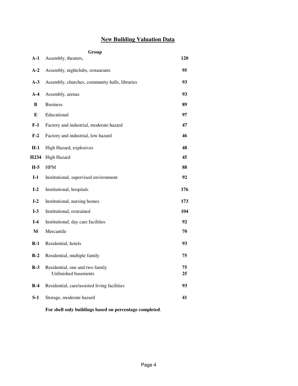## **New Building Valuation Data**

**Group**

| $A-1$            | Assembly, theaters,                                            | 120      |
|------------------|----------------------------------------------------------------|----------|
| $A-2$            | Assembly, nightclubs, restaurants                              | 95       |
| $A-3$            | Assembly, churches, community halls, libraries                 | 93       |
| $A-4$            | Assembly, arenas                                               | 93       |
| B                | <b>Business</b>                                                | 89       |
| E                | Educational                                                    | 97       |
| $F-1$            | Factory and industrial, moderate hazard                        | 47       |
| $F-2$            | Factory and industrial, low hazard                             | 46       |
| $H-1$            | High Hazard, explosives                                        | 48       |
| H <sub>234</sub> | High Hazard                                                    | 45       |
| $H-5$            | <b>HPM</b>                                                     | 88       |
| $I-1$            | Institutional, supervised environment                          | 92       |
| $I-2$            | Institutional, hospitals                                       | 176      |
| $I-2$            | Institutional, nursing homes                                   | 173      |
| $I-3$            | Institutional, restrained                                      | 104      |
| $I-4$            | Institutional, day care facilities                             | 92       |
| M                | Mercantile                                                     | 70       |
| $R-1$            | Residential, hotels                                            | 93       |
| $R-2$            | Residential, multiple family                                   | 75       |
| $R-3$            | Residential, one and two family<br><b>Unfinished basements</b> | 75<br>25 |
| $R-4$            | Residential, care/assisted living facilities                   | 93       |
| S-1              | Storage, moderate hazard                                       | 41       |
|                  |                                                                |          |

**For shell only buildings based on percentage completed**.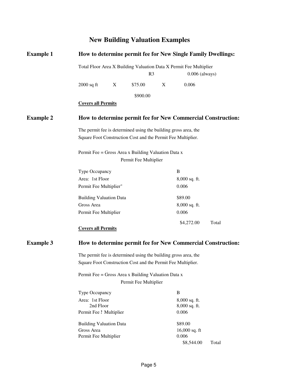## **New Building Valuation Examples**

| <b>Example 1</b>                                                                                                                | How to determine permit fee for New Single Family Dwellings:<br>Total Floor Area X Building Valuation Data X Permit Fee Multiplier<br>R <sub>3</sub><br>$0.006$ (always) |   |                       |   |                     |                                                              |
|---------------------------------------------------------------------------------------------------------------------------------|--------------------------------------------------------------------------------------------------------------------------------------------------------------------------|---|-----------------------|---|---------------------|--------------------------------------------------------------|
|                                                                                                                                 |                                                                                                                                                                          |   |                       |   |                     |                                                              |
|                                                                                                                                 | $2000$ sq ft                                                                                                                                                             | X | \$75.00               | X | 0.006               |                                                              |
|                                                                                                                                 |                                                                                                                                                                          |   | \$900.00              |   |                     |                                                              |
|                                                                                                                                 | <b>Covers all Permits</b>                                                                                                                                                |   |                       |   |                     |                                                              |
| <b>Example 2</b>                                                                                                                |                                                                                                                                                                          |   |                       |   |                     | How to determine permit fee for New Commercial Construction: |
| The permit fee is determined using the building gross area, the<br>Square Foot Construction Cost and the Permit Fee Multiplier. |                                                                                                                                                                          |   |                       |   |                     |                                                              |
|                                                                                                                                 | Permit Fee = Gross Area x Building Valuation Data x                                                                                                                      |   |                       |   |                     |                                                              |
|                                                                                                                                 |                                                                                                                                                                          |   | Permit Fee Multiplier |   |                     |                                                              |
|                                                                                                                                 | Type Occupancy                                                                                                                                                           |   |                       |   | B                   |                                                              |
|                                                                                                                                 | Area: 1st Floor                                                                                                                                                          |   |                       |   | 8,000 sq. ft.       |                                                              |
|                                                                                                                                 | Permit Fee Multiplier"                                                                                                                                                   |   |                       |   | 0.006               |                                                              |
|                                                                                                                                 | <b>Building Valuation Data</b>                                                                                                                                           |   |                       |   | \$89.00             |                                                              |
|                                                                                                                                 | Gross Area                                                                                                                                                               |   |                       |   | 8,000 sq. ft.       |                                                              |
|                                                                                                                                 | Permit Fee Multiplier                                                                                                                                                    |   |                       |   | 0.006               |                                                              |
|                                                                                                                                 | <b>Covers all Permits</b>                                                                                                                                                |   |                       |   | \$4,272.00          | Total                                                        |
| <b>Example 3</b>                                                                                                                | How to determine permit fee for New Commercial Construction:                                                                                                             |   |                       |   |                     |                                                              |
| The permit fee is determined using the building gross area, the<br>Square Foot Construction Cost and the Permit Fee Multiplier. |                                                                                                                                                                          |   |                       |   |                     |                                                              |
|                                                                                                                                 | Permit Fee = Gross Area x Building Valuation Data x                                                                                                                      |   |                       |   |                     |                                                              |
|                                                                                                                                 | Permit Fee Multiplier                                                                                                                                                    |   |                       |   |                     |                                                              |
|                                                                                                                                 | Type Occupancy                                                                                                                                                           |   |                       |   | B                   |                                                              |
|                                                                                                                                 | Area: 1st Floor                                                                                                                                                          |   |                       |   | $8,000$ sq. ft.     |                                                              |
|                                                                                                                                 | 2nd Floor                                                                                                                                                                |   |                       |   | 8,000 sq. ft.       |                                                              |
|                                                                                                                                 | Permit Fee 1 Multiplier                                                                                                                                                  |   |                       |   | 0.006               |                                                              |
|                                                                                                                                 | <b>Building Valuation Data</b>                                                                                                                                           |   |                       |   | \$89.00             |                                                              |
|                                                                                                                                 | Gross Area                                                                                                                                                               |   |                       |   | 16,000 sq. ft       |                                                              |
|                                                                                                                                 | Permit Fee Multiplier                                                                                                                                                    |   |                       |   | 0.006<br>\$8,544.00 | Total                                                        |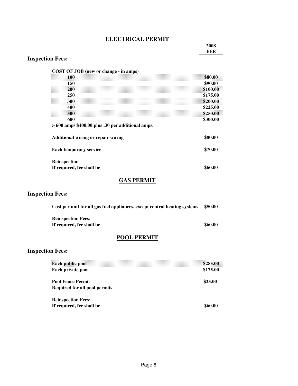## **ELECTRICAL PERMIT**

 **2008 FEE**

## **Inspection Fees:**

| COST OF JOB (new or change - in amps)<br>100              | \$80.00              |
|-----------------------------------------------------------|----------------------|
| 150<br><b>200</b>                                         | \$90.00<br>\$100.00  |
| 250<br>300                                                | \$175.00<br>\$200.00 |
| 400<br>500                                                | \$225.00<br>\$250.00 |
| 600<br>$>600$ amps \$400.00 plus .30 per additional amps. | \$300.00             |
| <b>Additional wiring or repair wiring</b>                 | \$80.00              |
| <b>Each temporary service</b>                             | \$70.00              |
| <b>Reinspection</b>                                       |                      |
| If required, fee shall be                                 | \$60.00              |

## **GAS PERMIT**

## **Inspection Fees:**

| Cost per unit for all gas fuel appliances, except central heating systems | \$50.00 |
|---------------------------------------------------------------------------|---------|
| <b>Reinspection Fees:</b>                                                 |         |
| If required, fee shall be                                                 | \$60.00 |

## **POOL PERMIT**

## **Inspection Fees:**

| <b>Each public pool</b>       | \$285.00 |
|-------------------------------|----------|
| Each private pool             | \$175.00 |
| <b>Pool Fence Permit</b>      | \$25.00  |
| Required for all pool permits |          |
| <b>Reinspection Fees:</b>     |          |
| If required, fee shall be     | \$60.00  |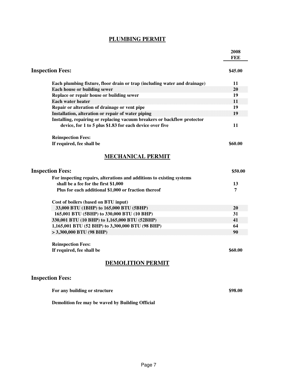## **PLUMBING PERMIT**

|                                                                                                                                                                                                                                                                                                                                                                                                                                          | 2008<br>FEE                                   |
|------------------------------------------------------------------------------------------------------------------------------------------------------------------------------------------------------------------------------------------------------------------------------------------------------------------------------------------------------------------------------------------------------------------------------------------|-----------------------------------------------|
| <b>Inspection Fees:</b>                                                                                                                                                                                                                                                                                                                                                                                                                  | \$45.00                                       |
| Each plumbing fixture, floor drain or trap (including water and drainage)<br><b>Each house or building sewer</b><br>Replace or repair house or building sewer<br><b>Each water heater</b><br>Repair or alteration of drainage or vent pipe<br>Installation, alteration or repair of water piping<br>Installing, repairing or replacing vacuum breakers or backflow protector<br>device, for 1 to 5 plus \$1.83 for each device over five | 11<br>20<br>19<br>$\bf{11}$<br>19<br>19<br>11 |
| <b>Reinspection Fees:</b><br>If required, fee shall be                                                                                                                                                                                                                                                                                                                                                                                   | \$60.00                                       |
| <b>MECHANICAL PERMIT</b>                                                                                                                                                                                                                                                                                                                                                                                                                 |                                               |
| <b>Inspection Fees:</b>                                                                                                                                                                                                                                                                                                                                                                                                                  | \$50.00                                       |
| For inspecting repairs, alterations and additions to existing systems<br>shall be a fee for the first \$1,000<br>Plus for each additional \$1,000 or fraction thereof                                                                                                                                                                                                                                                                    | 13<br>7                                       |
| Cost of boilers (based on BTU input)<br>33,000 BTU (1BHP) to 165,000 BTU (5BHP)<br>165,001 BTU (5BHP) to 330,000 BTU (10 BHP)<br>330,001 BTU (10 BHP) to 1,165,000 BTU (52BHP)<br>1,165,001 BTU (52 BHP) to 3,300,000 BTU (98 BHP)<br>> 3,300,000 BTU (98 BHP)                                                                                                                                                                           | 20<br>31<br>41<br>64<br>90                    |
| <b>Reinspection Fees:</b><br>If required, fee shall be                                                                                                                                                                                                                                                                                                                                                                                   | \$60.00                                       |
| <b>DEMOLITION PERMIT</b>                                                                                                                                                                                                                                                                                                                                                                                                                 |                                               |
| <b>Inspection Fees:</b>                                                                                                                                                                                                                                                                                                                                                                                                                  |                                               |
| For any building or structure                                                                                                                                                                                                                                                                                                                                                                                                            | \$98.00                                       |

**Demolition fee may be waved by Building Official**